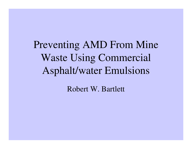Preventing AMD From Mine Waste Using Commercial Asphalt/water Emulsions

Robert W. Bartlett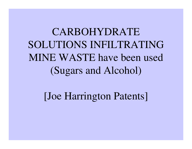CARBOHYDRATE SOLUTIONS INFILTRATINGMINE WASTE have been used (Sugars and Alcohol)

[Joe Harrington Patents]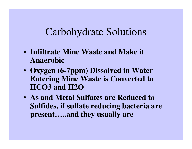#### Carbohydrate Solutions

- **Infiltrate Mine Waste and Make it Anaerobic**
- **Oxygen (6-7ppm) Dissolved in Water Entering Mine Waste is Converted to HCO3 and H2O**
- **As and Metal Sulfates are Reduced to Sulfides, if sulfate reducing bacteria are present…..and they usually are**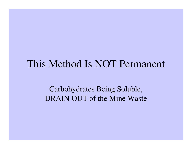#### This Method Is NOT Permanent

Carbohydrates Being Soluble, DRAIN OUT of the Mine Waste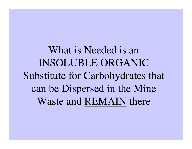What is Needed is an INSOLUBLE ORGANIC Substitute for Carbohydrates that can be Dispersed in the Mine Waste and REMAIN there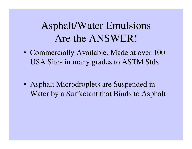## Asphalt/Water Emulsions Are the ANSWER!

- Commercially Available, Made at over 100 USA Sites in many grades to ASTM Stds
- Asphalt Microdroplets are Suspended in Water by a Surfactant that Binds to Asphalt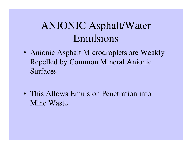# ANIONIC Asphalt/Water Emulsions

- Anionic Asphalt Microdroplets are Weakly Repelled by Common Mineral Anionic Surfaces
- This Allows Emulsion Penetration into Mine Waste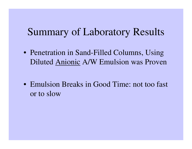### Summary of Laboratory Results

- Penetration in Sand-Filled Columns, Using Diluted Anionic A/W Emulsion was Proven
- Emulsion Breaks in Good Time: not too fast or to slow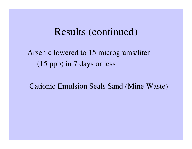#### Results (continued)

Arsenic lowered to 15 micrograms/liter (15 ppb) in 7 days or less

Cationic Emulsion Seals Sand (Mine Waste)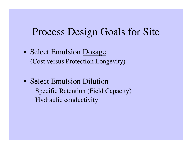### Process Design Goals for Site

- Select Emulsion Dosage (Cost versus Protection Longevity)
- Select Emulsion Dilution Specific Retention (Field Capacity) Hydraulic conductivity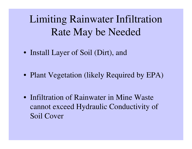Limiting Rainwater Infiltration Rate May be Needed

- Install Layer of Soil (Dirt), and
- Plant Vegetation (likely Required by EPA)
- Infiltration of Rainwater in Mine Waste cannot exceed Hydraulic Conductivity of Soil Cover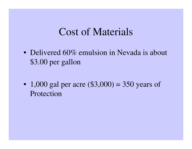#### Cost of Materials

- Delivered 60% emulsion in Nevada is about \$3.00 per gallon
- $\bullet$  1,000 gal per acre (\$3,000) = 350 years of Protection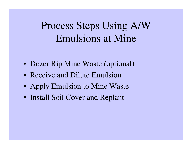# Process Steps Using A/W Emulsions at Mine

- Dozer Rip Mine Waste (optional)
- Receive and Dilute Emulsion
- Apply Emulsion to Mine Waste
- Install Soil Cover and Replant